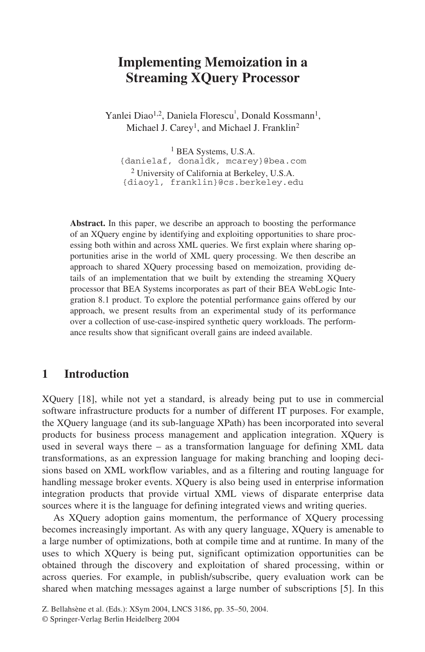# **Implementing Memoization in a Streaming XQuery Processor**

Yanlei Diao<sup>1,2</sup>, Daniela Florescu<sup>1</sup>, Donald Kossmann<sup>1</sup>, Michael J. Carey<sup>1</sup>, and Michael J. Franklin<sup>2</sup>

<sup>1</sup> BEA Systems, U.S.A. {danielaf, donaldk, mcarey}@bea.com 2 University of California at Berkeley, U.S.A. {diaoyl, franklin}@cs.berkeley.edu

Abstract. In this paper, we describe an approach to boosting the performance of an XQuery engine by identifying and exploiting opportunities to share processing both within and across XML queries. We first explain where sharing opportunities arise in the world of XML query processing. We then describe an approach to shared XQuery processing based on memoization, providing details of an implementation that we built by extending the streaming XQuery processor that BEA Systems incorporates as part of their BEA WebLogic Integration 8.1 product. To explore the potential performance gains offered by our approach, we present results from an experimental study of its performance over a collection of use-case-inspired synthetic query workloads. The performance results show that significant overall gains are indeed available.

## **1 Introduction**

XQuery [18], while not yet a standard, is already being put to use in commercial software infrastructure products for a number of different IT purposes. For example, the XQuery language (and its sub-language XPath) has been incorporated into several products for business process management and application integration. XQuery is used in several ways there – as a transformation language for defining XML data transformations, as an expression language for making branching and looping decisions based on XML workflow variables, and as a filtering and routing language for handling message broker events. XQuery is also being used in enterprise information integration products that provide virtual XML views of disparate enterprise data sources where it is the language for defining integrated views and writing queries.

As XQuery adoption gains momentum, the performance of XQuery processing becomes increasingly important. As with any query language, XQuery is amenable to a large number of optimizations, both at compile time and at runtime. In many of the uses to which XQuery is being put, significant optimization opportunities can be obtained through the discovery and exploitation of shared processing, within or across queries. For example, in publish/subscribe, query evaluation work can be shared when matching messages against a large number of subscriptions [5]. In this

Z. Bellahsène et al. (Eds.): XSym 2004, LNCS 3186, pp. 35–50, 2004.

<sup>©</sup> Springer-Verlag Berlin Heidelberg 2004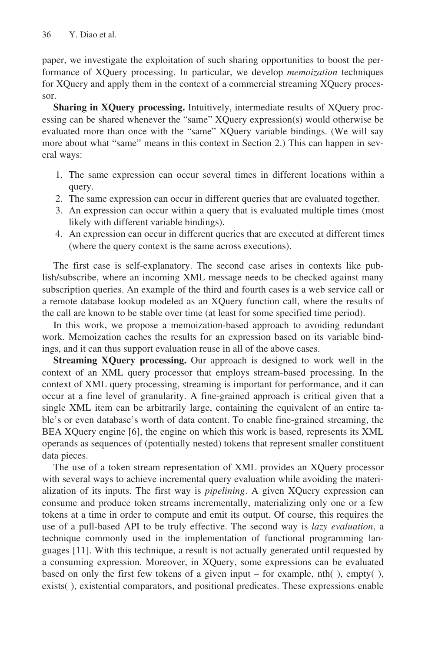paper, we investigate the exploitation of such sharing opportunities to boost the performance of XQuery processing. In particular, we develop *memoization* techniques for XQuery and apply them in the context of a commercial streaming XQuery processor.

**Sharing in XQuery processing.** Intuitively, intermediate results of XQuery processing can be shared whenever the "same" XQuery expression(s) would otherwise be evaluated more than once with the "same" XQuery variable bindings. (We will say more about what "same" means in this context in Section 2.) This can happen in several ways:

- 1. The same expression can occur several times in different locations within a query.
- 2. The same expression can occur in different queries that are evaluated together.
- 3. An expression can occur within a query that is evaluated multiple times (most likely with different variable bindings).
- 4. An expression can occur in different queries that are executed at different times (where the query context is the same across executions).

The first case is self-explanatory. The second case arises in contexts like publish/subscribe, where an incoming XML message needs to be checked against many subscription queries. An example of the third and fourth cases is a web service call or a remote database lookup modeled as an XQuery function call, where the results of the call are known to be stable over time (at least for some specified time period).

In this work, we propose a memoization-based approach to avoiding redundant work. Memoization caches the results for an expression based on its variable bindings, and it can thus support evaluation reuse in all of the above cases.

**Streaming XQuery processing.** Our approach is designed to work well in the context of an XML query processor that employs stream-based processing. In the context of XML query processing, streaming is important for performance, and it can occur at a fine level of granularity. A fine-grained approach is critical given that a single XML item can be arbitrarily large, containing the equivalent of an entire table's or even database's worth of data content. To enable fine-grained streaming, the BEA XQuery engine [6], the engine on which this work is based, represents its XML operands as sequences of (potentially nested) tokens that represent smaller constituent data pieces.

The use of a token stream representation of XML provides an XQuery processor with several ways to achieve incremental query evaluation while avoiding the materialization of its inputs. The first way is *pipelining*. A given XQuery expression can consume and produce token streams incrementally, materializing only one or a few tokens at a time in order to compute and emit its output. Of course, this requires the use of a pull-based API to be truly effective. The second way is *lazy evaluation*, a technique commonly used in the implementation of functional programming languages [11]. With this technique, a result is not actually generated until requested by a consuming expression. Moreover, in XQuery, some expressions can be evaluated based on only the first few tokens of a given input – for example, nth( ), empty( ), exists( ), existential comparators, and positional predicates. These expressions enable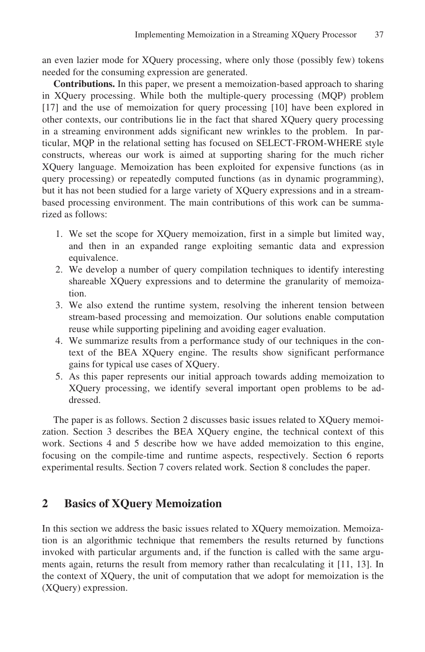an even lazier mode for XQuery processing, where only those (possibly few) tokens needed for the consuming expression are generated.

**Contributions.** In this paper, we present a memoization-based approach to sharing in XQuery processing. While both the multiple-query processing (MQP) problem [17] and the use of memoization for query processing [10] have been explored in other contexts, our contributions lie in the fact that shared XQuery query processing in a streaming environment adds significant new wrinkles to the problem. In particular, MQP in the relational setting has focused on SELECT-FROM-WHERE style constructs, whereas our work is aimed at supporting sharing for the much richer XQuery language. Memoization has been exploited for expensive functions (as in query processing) or repeatedly computed functions (as in dynamic programming), but it has not been studied for a large variety of XQuery expressions and in a streambased processing environment. The main contributions of this work can be summarized as follows:

- 1. We set the scope for XQuery memoization, first in a simple but limited way, and then in an expanded range exploiting semantic data and expression equivalence.
- 2. We develop a number of query compilation techniques to identify interesting shareable XQuery expressions and to determine the granularity of memoization.
- 3. We also extend the runtime system, resolving the inherent tension between stream-based processing and memoization. Our solutions enable computation reuse while supporting pipelining and avoiding eager evaluation.
- 4. We summarize results from a performance study of our techniques in the context of the BEA XQuery engine. The results show significant performance gains for typical use cases of XQuery.
- 5. As this paper represents our initial approach towards adding memoization to XQuery processing, we identify several important open problems to be addressed.

The paper is as follows. Section 2 discusses basic issues related to XQuery memoization. Section 3 describes the BEA XQuery engine, the technical context of this work. Sections 4 and 5 describe how we have added memoization to this engine, focusing on the compile-time and runtime aspects, respectively. Section 6 reports experimental results. Section 7 covers related work. Section 8 concludes the paper.

## **2 Basics of XQuery Memoization**

In this section we address the basic issues related to XQuery memoization. Memoization is an algorithmic technique that remembers the results returned by functions invoked with particular arguments and, if the function is called with the same arguments again, returns the result from memory rather than recalculating it [11, 13]. In the context of XQuery, the unit of computation that we adopt for memoization is the (XQuery) expression.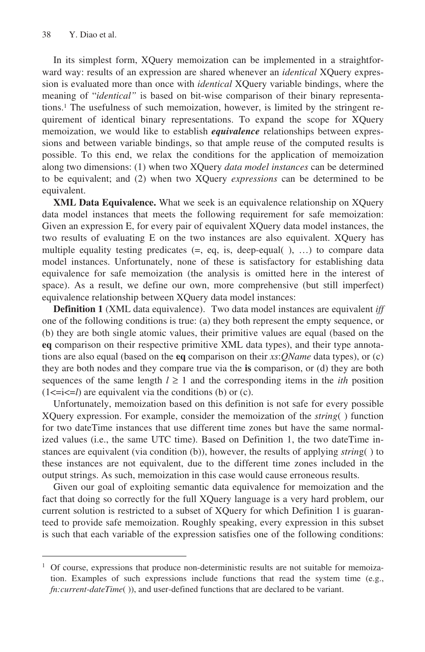In its simplest form, XQuery memoization can be implemented in a straightforward way: results of an expression are shared whenever an *identical* XQuery expression is evaluated more than once with *identical* XQuery variable bindings, where the meaning of "*identical"* is based on bit-wise comparison of their binary representations.1 The usefulness of such memoization, however, is limited by the stringent requirement of identical binary representations. To expand the scope for XQuery memoization, we would like to establish *equivalence* relationships between expressions and between variable bindings, so that ample reuse of the computed results is possible. To this end, we relax the conditions for the application of memoization along two dimensions: (1) when two XQuery *data model instances* can be determined to be equivalent; and (2) when two XQuery *expressions* can be determined to be equivalent.

**XML Data Equivalence.** What we seek is an equivalence relationship on XQuery data model instances that meets the following requirement for safe memoization: Given an expression E, for every pair of equivalent XQuery data model instances, the two results of evaluating E on the two instances are also equivalent. XQuery has multiple equality testing predicates  $(=, \text{ eq}, \text{ is, deep-equal}( ), \ldots)$  to compare data model instances. Unfortunately, none of these is satisfactory for establishing data equivalence for safe memoization (the analysis is omitted here in the interest of space). As a result, we define our own, more comprehensive (but still imperfect) equivalence relationship between XQuery data model instances:

**Definition 1** (XML data equivalence). Two data model instances are equivalent *iff* one of the following conditions is true: (a) they both represent the empty sequence, or (b) they are both single atomic values, their primitive values are equal (based on the **eq** comparison on their respective primitive XML data types), and their type annotations are also equal (based on the **eq** comparison on their *xs*:*QName* data types), or (c) they are both nodes and they compare true via the **is** comparison, or (d) they are both sequences of the same length  $l \geq 1$  and the corresponding items in the *ith* position  $(1 \le i \le l)$  are equivalent via the conditions (b) or (c).

Unfortunately, memoization based on this definition is not safe for every possible XQuery expression. For example, consider the memoization of the *string*( ) function for two dateTime instances that use different time zones but have the same normalized values (i.e., the same UTC time). Based on Definition 1, the two dateTime instances are equivalent (via condition (b)), however, the results of applying *strin*g( ) to these instances are not equivalent, due to the different time zones included in the output strings. As such, memoization in this case would cause erroneous results.

Given our goal of exploiting semantic data equivalence for memoization and the fact that doing so correctly for the full XQuery language is a very hard problem, our current solution is restricted to a subset of XQuery for which Definition 1 is guaranteed to provide safe memoization. Roughly speaking, every expression in this subset is such that each variable of the expression satisfies one of the following conditions:

<sup>&</sup>lt;sup>1</sup> Of course, expressions that produce non-deterministic results are not suitable for memoization. Examples of such expressions include functions that read the system time (e.g., *fn:current-dateTime*( )), and user-defined functions that are declared to be variant.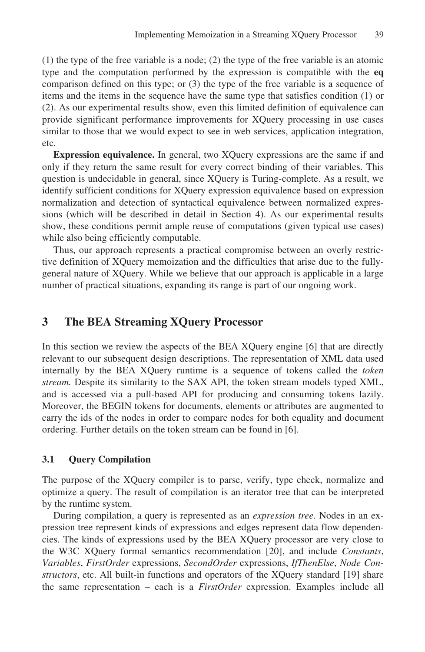(1) the type of the free variable is a node; (2) the type of the free variable is an atomic type and the computation performed by the expression is compatible with the **eq** comparison defined on this type; or (3) the type of the free variable is a sequence of items and the items in the sequence have the same type that satisfies condition (1) or (2). As our experimental results show, even this limited definition of equivalence can provide significant performance improvements for XQuery processing in use cases similar to those that we would expect to see in web services, application integration, etc.

**Expression equivalence.** In general, two XQuery expressions are the same if and only if they return the same result for every correct binding of their variables. This question is undecidable in general, since XQuery is Turing-complete. As a result, we identify sufficient conditions for XQuery expression equivalence based on expression normalization and detection of syntactical equivalence between normalized expressions (which will be described in detail in Section 4). As our experimental results show, these conditions permit ample reuse of computations (given typical use cases) while also being efficiently computable.

Thus, our approach represents a practical compromise between an overly restrictive definition of XQuery memoization and the difficulties that arise due to the fullygeneral nature of XQuery. While we believe that our approach is applicable in a large number of practical situations, expanding its range is part of our ongoing work.

## **3 The BEA Streaming XQuery Processor**

In this section we review the aspects of the BEA XQuery engine [6] that are directly relevant to our subsequent design descriptions. The representation of XML data used internally by the BEA XQuery runtime is a sequence of tokens called the *token stream.* Despite its similarity to the SAX API, the token stream models typed XML, and is accessed via a pull-based API for producing and consuming tokens lazily. Moreover, the BEGIN tokens for documents, elements or attributes are augmented to carry the ids of the nodes in order to compare nodes for both equality and document ordering. Further details on the token stream can be found in [6].

#### **3.1 Query Compilation**

The purpose of the XQuery compiler is to parse, verify, type check, normalize and optimize a query. The result of compilation is an iterator tree that can be interpreted by the runtime system.

During compilation, a query is represented as an *expression tree*. Nodes in an expression tree represent kinds of expressions and edges represent data flow dependencies. The kinds of expressions used by the BEA XQuery processor are very close to the W3C XQuery formal semantics recommendation [20], and include *Constants*, *Variables*, *FirstOrder* expressions, *SecondOrder* expressions, *IfThenElse*, *Node Constructors*, etc. All built-in functions and operators of the XQuery standard [19] share the same representation – each is a *FirstOrder* expression. Examples include all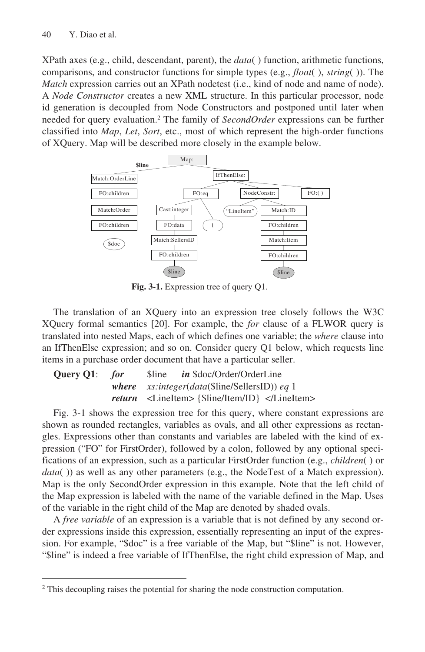XPath axes (e.g., child, descendant, parent), the *data*( ) function, arithmetic functions, comparisons, and constructor functions for simple types (e.g., *float*( ), *string*( )). The *Match* expression carries out an XPath nodetest (i.e., kind of node and name of node). A *Node Constructor* creates a new XML structure. In this particular processor, node id generation is decoupled from Node Constructors and postponed until later when needed for query evaluation.2 The family of *SecondOrder* expressions can be further classified into *Map*, *Let*, *Sort*, etc., most of which represent the high-order functions of XQuery. Map will be described more closely in the example below.



**Fig. 3-1.** Expression tree of query Q1.

The translation of an XQuery into an expression tree closely follows the W3C XQuery formal semantics [20]. For example, the *for* clause of a FLWOR query is translated into nested Maps, each of which defines one variable; the *where* clause into an IfThenElse expression; and so on. Consider query Q1 below, which requests line items in a purchase order document that have a particular seller.

**Query Q1**: *for* \$line *in* \$doc/Order/OrderLine *where xs:integer*(*data*(\$line/SellersID)) *eq* 1 *return* <LineItem> {\$line/Item/ID} </LineItem>

Fig. 3-1 shows the expression tree for this query, where constant expressions are shown as rounded rectangles, variables as ovals, and all other expressions as rectangles. Expressions other than constants and variables are labeled with the kind of expression ("FO" for FirstOrder), followed by a colon, followed by any optional specifications of an expression, such as a particular FirstOrder function (e.g., *children*( ) or *data*()) as well as any other parameters (e.g., the NodeTest of a Match expression). Map is the only SecondOrder expression in this example. Note that the left child of the Map expression is labeled with the name of the variable defined in the Map. Uses of the variable in the right child of the Map are denoted by shaded ovals.

A *free variable* of an expression is a variable that is not defined by any second order expressions inside this expression, essentially representing an input of the expression. For example, "\$doc" is a free variable of the Map, but "\$line" is not. However, "\$line" is indeed a free variable of IfThenElse, the right child expression of Map, and

<sup>&</sup>lt;sup>2</sup> This decoupling raises the potential for sharing the node construction computation.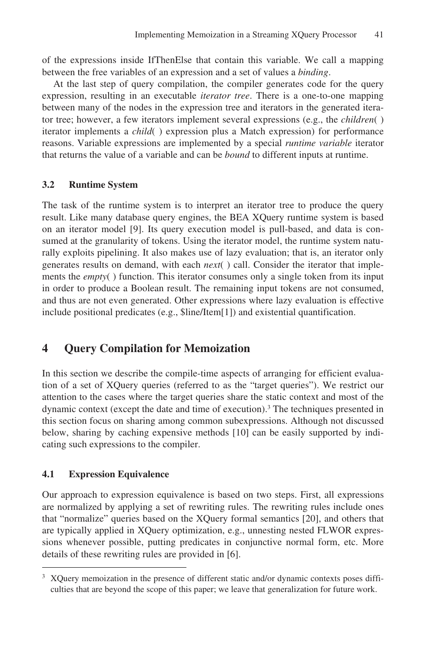of the expressions inside IfThenElse that contain this variable. We call a mapping between the free variables of an expression and a set of values a *binding*.

At the last step of query compilation, the compiler generates code for the query expression, resulting in an executable *iterator tree*. There is a one-to-one mapping between many of the nodes in the expression tree and iterators in the generated iterator tree; however, a few iterators implement several expressions (e.g., the *children*( ) iterator implements a *child*( ) expression plus a Match expression) for performance reasons. Variable expressions are implemented by a special *runtime variable* iterator that returns the value of a variable and can be *bound* to different inputs at runtime.

#### **3.2 Runtime System**

The task of the runtime system is to interpret an iterator tree to produce the query result. Like many database query engines, the BEA XQuery runtime system is based on an iterator model [9]. Its query execution model is pull-based, and data is consumed at the granularity of tokens. Using the iterator model, the runtime system naturally exploits pipelining. It also makes use of lazy evaluation; that is, an iterator only generates results on demand, with each *next*( ) call. Consider the iterator that implements the *empty*( ) function. This iterator consumes only a single token from its input in order to produce a Boolean result. The remaining input tokens are not consumed, and thus are not even generated. Other expressions where lazy evaluation is effective include positional predicates (e.g., \$line/Item[1]) and existential quantification.

## **4 Query Compilation for Memoization**

In this section we describe the compile-time aspects of arranging for efficient evaluation of a set of XQuery queries (referred to as the "target queries"). We restrict our attention to the cases where the target queries share the static context and most of the dynamic context (except the date and time of execution).3 The techniques presented in this section focus on sharing among common subexpressions. Although not discussed below, sharing by caching expensive methods [10] can be easily supported by indicating such expressions to the compiler.

#### **4.1 Expression Equivalence**

Our approach to expression equivalence is based on two steps. First, all expressions are normalized by applying a set of rewriting rules. The rewriting rules include ones that "normalize" queries based on the XQuery formal semantics [20], and others that are typically applied in XQuery optimization, e.g., unnesting nested FLWOR expressions whenever possible, putting predicates in conjunctive normal form, etc. More details of these rewriting rules are provided in [6].

<sup>&</sup>lt;sup>3</sup> XQuery memoization in the presence of different static and/or dynamic contexts poses difficulties that are beyond the scope of this paper; we leave that generalization for future work.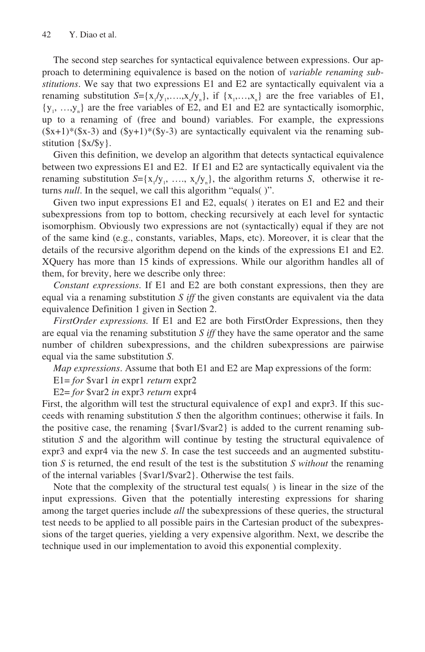The second step searches for syntactical equivalence between expressions. Our approach to determining equivalence is based on the notion of *variable renaming substitutions*. We say that two expressions E1 and E2 are syntactically equivalent via a renaming substitution  $S = \{x_1/y_1, \ldots, x_n/y_n\}$ , if  $\{x_1, \ldots, x_n\}$  are the free variables of E1,  ${y_1, ..., y_n}$  are the free variables of E2, and E1 and E2 are syntactically isomorphic, up to a renaming of (free and bound) variables. For example, the expressions  $(\$x+1)*(\$x-3)$  and  $(\$y+1)*(\$y-3)$  are syntactically equivalent via the renaming substitution {\$x/\$y}.

Given this definition, we develop an algorithm that detects syntactical equivalence between two expressions E1 and E2. If E1 and E2 are syntactically equivalent via the renaming substitution  $S = \{x_1/y_1, \ldots, x_n/y_n\}$ , the algorithm returns *S*, otherwise it returns *null*. In the sequel, we call this algorithm "equals( )".

Given two input expressions E1 and E2, equals( ) iterates on E1 and E2 and their subexpressions from top to bottom, checking recursively at each level for syntactic isomorphism. Obviously two expressions are not (syntactically) equal if they are not of the same kind (e.g., constants, variables, Maps, etc). Moreover, it is clear that the details of the recursive algorithm depend on the kinds of the expressions E1 and E2. XQuery has more than 15 kinds of expressions. While our algorithm handles all of them, for brevity, here we describe only three:

*Constant expressions*. If E1 and E2 are both constant expressions, then they are equal via a renaming substitution *S iff* the given constants are equivalent via the data equivalence Definition 1 given in Section 2.

*FirstOrder expressions.* If E1 and E2 are both FirstOrder Expressions, then they are equal via the renaming substitution *S iff* they have the same operator and the same number of children subexpressions, and the children subexpressions are pairwise equal via the same substitution *S*.

*Map expressions*. Assume that both E1 and E2 are Map expressions of the form:

E1= *for* \$var1 *in* expr1 *return* expr2

E2= *for* \$var2 *in* expr3 *return* expr4

First, the algorithm will test the structural equivalence of exp1 and expr3. If this succeeds with renaming substitution *S* then the algorithm continues; otherwise it fails. In the positive case, the renaming {\$var1/\$var2} is added to the current renaming substitution *S* and the algorithm will continue by testing the structural equivalence of expr3 and expr4 via the new *S*. In case the test succeeds and an augmented substitution *S* is returned, the end result of the test is the substitution *S without* the renaming of the internal variables {\$var1/\$var2}. Otherwise the test fails.

Note that the complexity of the structural test equals( ) is linear in the size of the input expressions. Given that the potentially interesting expressions for sharing among the target queries include *all* the subexpressions of these queries, the structural test needs to be applied to all possible pairs in the Cartesian product of the subexpressions of the target queries, yielding a very expensive algorithm. Next, we describe the technique used in our implementation to avoid this exponential complexity.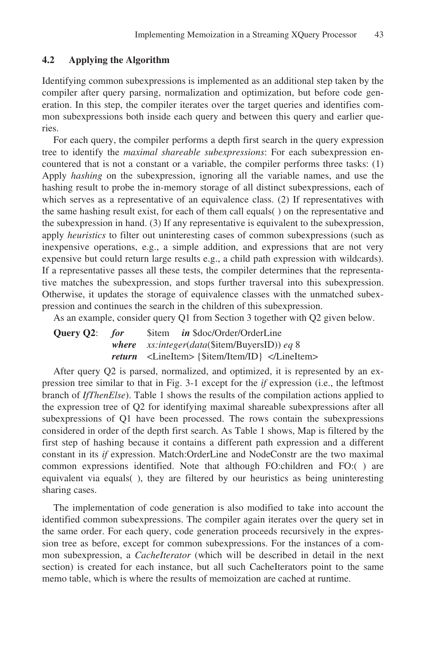#### **4.2 Applying the Algorithm**

Identifying common subexpressions is implemented as an additional step taken by the compiler after query parsing, normalization and optimization, but before code generation. In this step, the compiler iterates over the target queries and identifies common subexpressions both inside each query and between this query and earlier queries.

For each query, the compiler performs a depth first search in the query expression tree to identify the *maximal shareable subexpressions*: For each subexpression encountered that is not a constant or a variable, the compiler performs three tasks: (1) Apply *hashing* on the subexpression, ignoring all the variable names, and use the hashing result to probe the in-memory storage of all distinct subexpressions, each of which serves as a representative of an equivalence class. (2) If representatives with the same hashing result exist, for each of them call equals( ) on the representative and the subexpression in hand. (3) If any representative is equivalent to the subexpression, apply *heuristics* to filter out uninteresting cases of common subexpressions (such as inexpensive operations, e.g., a simple addition, and expressions that are not very expensive but could return large results e.g., a child path expression with wildcards). If a representative passes all these tests, the compiler determines that the representative matches the subexpression, and stops further traversal into this subexpression. Otherwise, it updates the storage of equivalence classes with the unmatched subexpression and continues the search in the children of this subexpression.

As an example, consider query Q1 from Section 3 together with Q2 given below.

**Query Q2**: *for* \$item *in* \$doc/Order/OrderLine *where xs:integer*(*data*(\$item/BuyersID)) *eq* 8 *return* <LineItem> {\$item/Item/ID} </LineItem>

After query Q2 is parsed, normalized, and optimized, it is represented by an expression tree similar to that in Fig. 3-1 except for the *if* expression (i.e., the leftmost branch of *IfThenElse*). Table 1 shows the results of the compilation actions applied to the expression tree of Q2 for identifying maximal shareable subexpressions after all subexpressions of Q1 have been processed. The rows contain the subexpressions considered in order of the depth first search. As Table 1 shows, Map is filtered by the first step of hashing because it contains a different path expression and a different constant in its *if* expression. Match:OrderLine and NodeConstr are the two maximal common expressions identified. Note that although FO:children and FO:( ) are equivalent via equals( ), they are filtered by our heuristics as being uninteresting sharing cases.

The implementation of code generation is also modified to take into account the identified common subexpressions. The compiler again iterates over the query set in the same order. For each query, code generation proceeds recursively in the expression tree as before, except for common subexpressions. For the instances of a common subexpression, a *CacheIterator* (which will be described in detail in the next section) is created for each instance, but all such CacheIterators point to the same memo table, which is where the results of memoization are cached at runtime.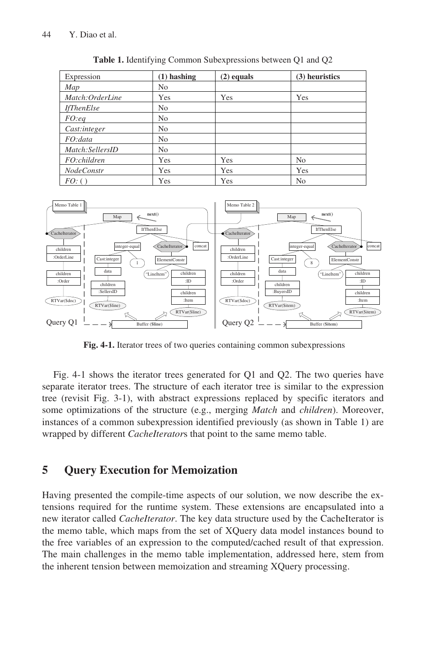| Expression        | $(1)$ hashing  | $(2)$ equals | (3) heuristics |
|-------------------|----------------|--------------|----------------|
| Map               | N <sub>o</sub> |              |                |
| Match:OrderLine   | Yes            | Yes          | Yes            |
| <b>IfThenElse</b> | N <sub>0</sub> |              |                |
| FO:eq             | N <sub>0</sub> |              |                |
| Cast:integer      | N <sub>0</sub> |              |                |
| FO:data           | N <sub>o</sub> |              |                |
| Match:SellersID   | N <sub>o</sub> |              |                |
| FO:children       | Yes            | Yes          | N <sub>o</sub> |
| NodeConstr        | Yes            | Yes          | Yes            |
| $FO:$ ( )         | Yes            | Yes          | N <sub>o</sub> |

**Table 1.** Identifying Common Subexpressions between Q1 and Q2



**Fig. 4-1.** Iterator trees of two queries containing common subexpressions

Fig. 4-1 shows the iterator trees generated for Q1 and Q2. The two queries have separate iterator trees. The structure of each iterator tree is similar to the expression tree (revisit Fig. 3-1), with abstract expressions replaced by specific iterators and some optimizations of the structure (e.g., merging *Match* and *children*). Moreover, instances of a common subexpression identified previously (as shown in Table 1) are wrapped by different *CacheIterator*s that point to the same memo table.

## **5 Query Execution for Memoization**

Having presented the compile-time aspects of our solution, we now describe the extensions required for the runtime system. These extensions are encapsulated into a new iterator called *CacheIterator*. The key data structure used by the CacheIterator is the memo table, which maps from the set of XQuery data model instances bound to the free variables of an expression to the computed/cached result of that expression. The main challenges in the memo table implementation, addressed here, stem from the inherent tension between memoization and streaming XQuery processing.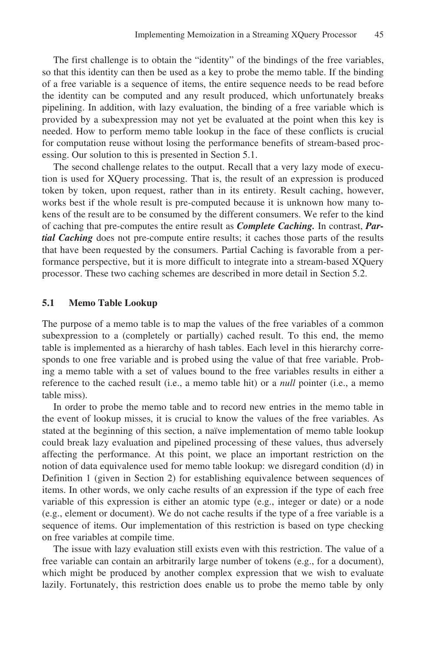The first challenge is to obtain the "identity" of the bindings of the free variables, so that this identity can then be used as a key to probe the memo table. If the binding of a free variable is a sequence of items, the entire sequence needs to be read before the identity can be computed and any result produced, which unfortunately breaks pipelining. In addition, with lazy evaluation, the binding of a free variable which is provided by a subexpression may not yet be evaluated at the point when this key is needed. How to perform memo table lookup in the face of these conflicts is crucial for computation reuse without losing the performance benefits of stream-based processing. Our solution to this is presented in Section 5.1.

The second challenge relates to the output. Recall that a very lazy mode of execution is used for XQuery processing. That is, the result of an expression is produced token by token, upon request, rather than in its entirety. Result caching, however, works best if the whole result is pre-computed because it is unknown how many tokens of the result are to be consumed by the different consumers. We refer to the kind of caching that pre-computes the entire result as *Complete Caching.* In contrast, *Partial Caching* does not pre-compute entire results; it caches those parts of the results that have been requested by the consumers. Partial Caching is favorable from a performance perspective, but it is more difficult to integrate into a stream-based XQuery processor. These two caching schemes are described in more detail in Section 5.2.

#### **5.1 Memo Table Lookup**

The purpose of a memo table is to map the values of the free variables of a common subexpression to a (completely or partially) cached result. To this end, the memo table is implemented as a hierarchy of hash tables. Each level in this hierarchy corresponds to one free variable and is probed using the value of that free variable. Probing a memo table with a set of values bound to the free variables results in either a reference to the cached result (i.e., a memo table hit) or a *null* pointer (i.e., a memo table miss).

In order to probe the memo table and to record new entries in the memo table in the event of lookup misses, it is crucial to know the values of the free variables. As stated at the beginning of this section, a naïve implementation of memo table lookup could break lazy evaluation and pipelined processing of these values, thus adversely affecting the performance. At this point, we place an important restriction on the notion of data equivalence used for memo table lookup: we disregard condition (d) in Definition 1 (given in Section 2) for establishing equivalence between sequences of items. In other words, we only cache results of an expression if the type of each free variable of this expression is either an atomic type (e.g., integer or date) or a node (e.g., element or document). We do not cache results if the type of a free variable is a sequence of items. Our implementation of this restriction is based on type checking on free variables at compile time.

The issue with lazy evaluation still exists even with this restriction. The value of a free variable can contain an arbitrarily large number of tokens (e.g., for a document), which might be produced by another complex expression that we wish to evaluate lazily. Fortunately, this restriction does enable us to probe the memo table by only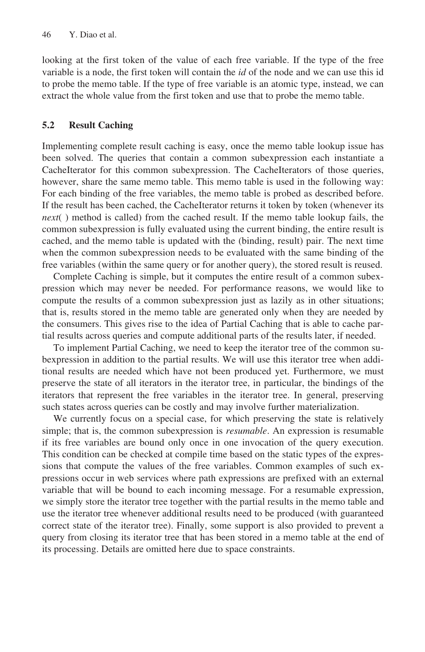looking at the first token of the value of each free variable. If the type of the free variable is a node, the first token will contain the *id* of the node and we can use this id to probe the memo table. If the type of free variable is an atomic type, instead, we can extract the whole value from the first token and use that to probe the memo table.

#### **5.2 Result Caching**

Implementing complete result caching is easy, once the memo table lookup issue has been solved. The queries that contain a common subexpression each instantiate a CacheIterator for this common subexpression. The CacheIterators of those queries, however, share the same memo table. This memo table is used in the following way: For each binding of the free variables, the memo table is probed as described before. If the result has been cached, the CacheIterator returns it token by token (whenever its *next*() method is called) from the cached result. If the memo table lookup fails, the common subexpression is fully evaluated using the current binding, the entire result is cached, and the memo table is updated with the (binding, result) pair. The next time when the common subexpression needs to be evaluated with the same binding of the free variables (within the same query or for another query), the stored result is reused.

Complete Caching is simple, but it computes the entire result of a common subexpression which may never be needed. For performance reasons, we would like to compute the results of a common subexpression just as lazily as in other situations; that is, results stored in the memo table are generated only when they are needed by the consumers. This gives rise to the idea of Partial Caching that is able to cache partial results across queries and compute additional parts of the results later, if needed.

To implement Partial Caching, we need to keep the iterator tree of the common subexpression in addition to the partial results. We will use this iterator tree when additional results are needed which have not been produced yet. Furthermore, we must preserve the state of all iterators in the iterator tree, in particular, the bindings of the iterators that represent the free variables in the iterator tree. In general, preserving such states across queries can be costly and may involve further materialization.

We currently focus on a special case, for which preserving the state is relatively simple; that is, the common subexpression is *resumable*. An expression is resumable if its free variables are bound only once in one invocation of the query execution. This condition can be checked at compile time based on the static types of the expressions that compute the values of the free variables. Common examples of such expressions occur in web services where path expressions are prefixed with an external variable that will be bound to each incoming message. For a resumable expression, we simply store the iterator tree together with the partial results in the memo table and use the iterator tree whenever additional results need to be produced (with guaranteed correct state of the iterator tree). Finally, some support is also provided to prevent a query from closing its iterator tree that has been stored in a memo table at the end of its processing. Details are omitted here due to space constraints.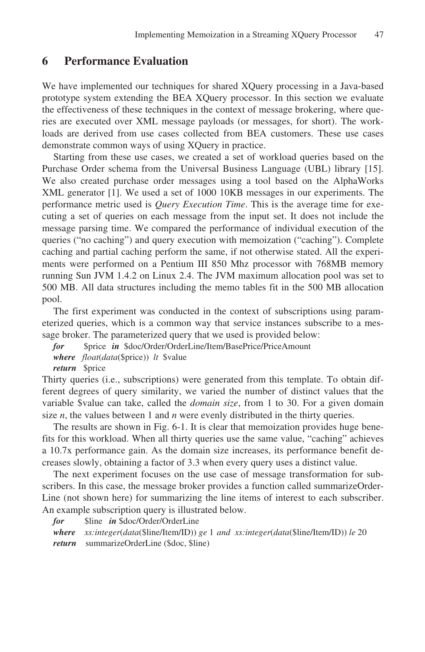### **6 Performance Evaluation**

We have implemented our techniques for shared XQuery processing in a Java-based prototype system extending the BEA XQuery processor. In this section we evaluate the effectiveness of these techniques in the context of message brokering, where queries are executed over XML message payloads (or messages, for short). The workloads are derived from use cases collected from BEA customers. These use cases demonstrate common ways of using XQuery in practice.

Starting from these use cases, we created a set of workload queries based on the Purchase Order schema from the Universal Business Language (UBL) library [15]. We also created purchase order messages using a tool based on the AlphaWorks XML generator [1]. We used a set of 1000 10KB messages in our experiments. The performance metric used is *Query Execution Time*. This is the average time for executing a set of queries on each message from the input set. It does not include the message parsing time. We compared the performance of individual execution of the queries ("no caching") and query execution with memoization ("caching"). Complete caching and partial caching perform the same, if not otherwise stated. All the experiments were performed on a Pentium III 850 Mhz processor with 768MB memory running Sun JVM 1.4.2 on Linux 2.4. The JVM maximum allocation pool was set to 500 MB. All data structures including the memo tables fit in the 500 MB allocation pool.

The first experiment was conducted in the context of subscriptions using parameterized queries, which is a common way that service instances subscribe to a message broker. The parameterized query that we used is provided below:

*for* \$price *in* \$doc/Order/OrderLine/Item/BasePrice/PriceAmount

*where float*(*data*(\$price)) *lt* \$value

*return* \$price

Thirty queries (i.e., subscriptions) were generated from this template. To obtain different degrees of query similarity, we varied the number of distinct values that the variable \$value can take, called the *domain size*, from 1 to 30. For a given domain size *n*, the values between 1 and *n* were evenly distributed in the thirty queries.

The results are shown in Fig. 6-1. It is clear that memoization provides huge benefits for this workload. When all thirty queries use the same value, "caching" achieves a 10.7x performance gain. As the domain size increases, its performance benefit decreases slowly, obtaining a factor of 3.3 when every query uses a distinct value.

The next experiment focuses on the use case of message transformation for subscribers. In this case, the message broker provides a function called summarizeOrder-Line (not shown here) for summarizing the line items of interest to each subscriber. An example subscription query is illustrated below.

*for* \$line *in* \$doc/Order/OrderLine

*where xs:integer*(*data*(\$line/Item/ID)) *ge* 1 *and xs:integer*(*data*(\$line/Item/ID)) *le* 20 *return* summarizeOrderLine (\$doc, \$line)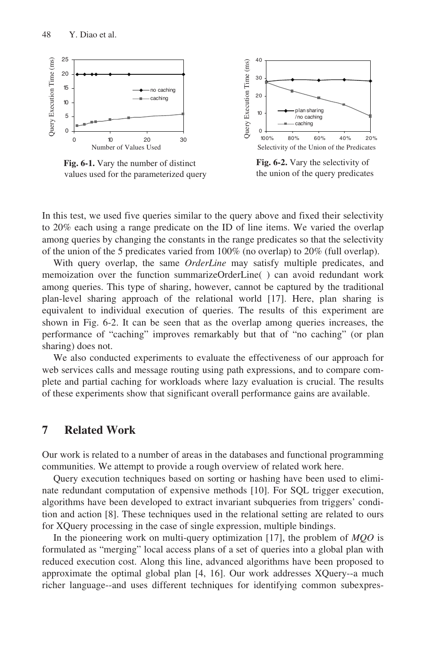

**Fig. 6-1.** Vary the number of distinct values used for the parameterized query



 **Fig. 6-2.** Vary the selectivity of the union of the query predicates

In this test, we used five queries similar to the query above and fixed their selectivity to 20% each using a range predicate on the ID of line items. We varied the overlap among queries by changing the constants in the range predicates so that the selectivity of the union of the 5 predicates varied from 100% (no overlap) to 20% (full overlap).

With query overlap, the same *OrderLine* may satisfy multiple predicates, and memoization over the function summarizeOrderLine( ) can avoid redundant work among queries. This type of sharing, however, cannot be captured by the traditional plan-level sharing approach of the relational world [17]. Here, plan sharing is equivalent to individual execution of queries. The results of this experiment are shown in Fig. 6-2. It can be seen that as the overlap among queries increases, the performance of "caching" improves remarkably but that of "no caching" (or plan sharing) does not.

We also conducted experiments to evaluate the effectiveness of our approach for web services calls and message routing using path expressions, and to compare complete and partial caching for workloads where lazy evaluation is crucial. The results of these experiments show that significant overall performance gains are available.

### **7 Related Work**

Our work is related to a number of areas in the databases and functional programming communities. We attempt to provide a rough overview of related work here.

Query execution techniques based on sorting or hashing have been used to eliminate redundant computation of expensive methods [10]. For SQL trigger execution, algorithms have been developed to extract invariant subqueries from triggers' condition and action [8]. These techniques used in the relational setting are related to ours for XQuery processing in the case of single expression, multiple bindings.

In the pioneering work on multi-query optimization [17], the problem of *MQO* is formulated as "merging" local access plans of a set of queries into a global plan with reduced execution cost. Along this line, advanced algorithms have been proposed to approximate the optimal global plan [4, 16]. Our work addresses XQuery--a much richer language--and uses different techniques for identifying common subexpres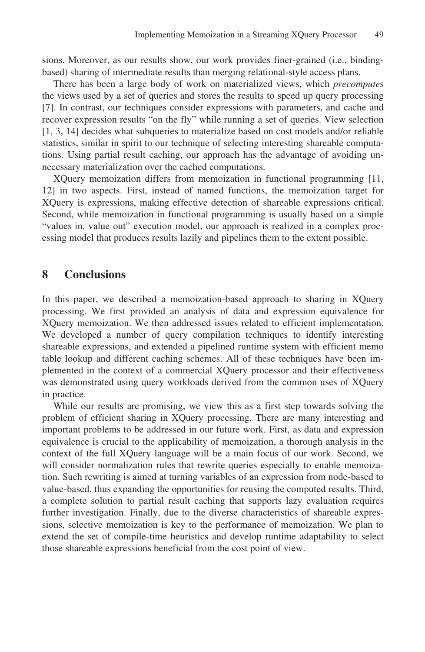sions. Moreover, as our results show, our work provides finer-grained (i.e., bindingbased) sharing of intermediate results than merging relational-style access plans.

There has been a large body of work on materialized views, which *precompute*s the views used by a set of queries and stores the results to speed up query processing [7]. In contrast, our techniques consider expressions with parameters, and cache and recover expression results "on the fly" while running a set of queries. View selection [1, 3, 14] decides what subqueries to materialize based on cost models and/or reliable statistics, similar in spirit to our technique of selecting interesting shareable computations. Using partial result caching, our approach has the advantage of avoiding unnecessary materialization over the cached computations.

XQuery memoization differs from memoization in functional programming [11, 12] in two aspects. First, instead of named functions, the memoization target for XQuery is expressions, making effective detection of shareable expressions critical. Second, while memoization in functional programming is usually based on a simple "values in, value out" execution model, our approach is realized in a complex processing model that produces results lazily and pipelines them to the extent possible.

#### **8 Conclusions**

In this paper, we described a memoization-based approach to sharing in XQuery processing. We first provided an analysis of data and expression equivalence for XQuery memoization. We then addressed issues related to efficient implementation. We developed a number of query compilation techniques to identify interesting shareable expressions, and extended a pipelined runtime system with efficient memo table lookup and different caching schemes. All of these techniques have been implemented in the context of a commercial XQuery processor and their effectiveness was demonstrated using query workloads derived from the common uses of XQuery in practice.

While our results are promising, we view this as a first step towards solving the problem of efficient sharing in XQuery processing. There are many interesting and important problems to be addressed in our future work. First, as data and expression equivalence is crucial to the applicability of memoization, a thorough analysis in the context of the full XQuery language will be a main focus of our work. Second, we will consider normalization rules that rewrite queries especially to enable memoization. Such rewriting is aimed at turning variables of an expression from node-based to value-based, thus expanding the opportunities for reusing the computed results. Third, a complete solution to partial result caching that supports lazy evaluation requires further investigation. Finally, due to the diverse characteristics of shareable expressions, selective memoization is key to the performance of memoization. We plan to extend the set of compile-time heuristics and develop runtime adaptability to select those shareable expressions beneficial from the cost point of view.